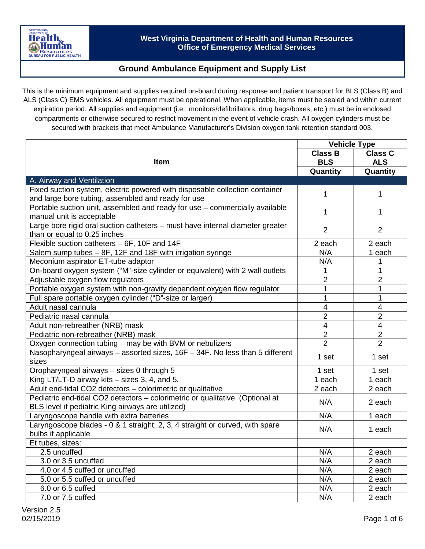### **Ground Ambulance Equipment and Supply List**

This is the minimum equipment and supplies required on-board during response and patient transport for BLS (Class B) and ALS (Class C) EMS vehicles. All equipment must be operational. When applicable, items must be sealed and within current expiration period. All supplies and equipment (i.e.: monitors/defibrillators, drug bags/boxes, etc.) must be in enclosed compartments or otherwise secured to restrict movement in the event of vehicle crash. All oxygen cylinders must be secured with brackets that meet Ambulance Manufacturer's Division oxygen tank retention standard 003.

|                                                                                  | <b>Vehicle Type</b> |                |
|----------------------------------------------------------------------------------|---------------------|----------------|
|                                                                                  | <b>Class B</b>      | <b>Class C</b> |
| <b>Item</b>                                                                      | <b>BLS</b>          | <b>ALS</b>     |
|                                                                                  | Quantity            | Quantity       |
| A. Airway and Ventilation                                                        |                     |                |
| Fixed suction system, electric powered with disposable collection container      | 1                   | 1              |
| and large bore tubing, assembled and ready for use                               |                     |                |
| Portable suction unit, assembled and ready for use - commercially available      | 1                   | 1              |
| manual unit is acceptable                                                        |                     |                |
| Large bore rigid oral suction catheters - must have internal diameter greater    | $\overline{2}$      | 2              |
| than or equal to 0.25 inches                                                     |                     |                |
| Flexible suction catheters - 6F, 10F and 14F                                     | 2 each              | 2 each         |
| Salem sump tubes - 8F, 12F and 18F with irrigation syringe                       | N/A                 | 1 each         |
| Meconium aspirator ET-tube adaptor                                               | N/A                 |                |
| On-board oxygen system ("M"-size cylinder or equivalent) with 2 wall outlets     |                     |                |
| Adjustable oxygen flow regulators                                                | $\overline{2}$      | $\overline{2}$ |
| Portable oxygen system with non-gravity dependent oxygen flow regulator          | 1                   | 1              |
| Full spare portable oxygen cylinder ("D"-size or larger)                         | 1                   | 1              |
| Adult nasal cannula                                                              | 4                   | $\overline{4}$ |
| Pediatric nasal cannula                                                          | $\overline{2}$      | $\overline{2}$ |
| Adult non-rebreather (NRB) mask                                                  | 4                   | 4              |
| Pediatric non-rebreather (NRB) mask                                              | 2                   | 2              |
| Oxygen connection tubing - may be with BVM or nebulizers                         | $\overline{2}$      | $\overline{2}$ |
| Nasopharyngeal airways $-$ assorted sizes, 16F $-$ 34F. No less than 5 different | 1 set               | 1 set          |
| sizes                                                                            |                     |                |
| Oropharyngeal airways - sizes 0 through 5                                        | 1 set               | 1 set          |
| King LT/LT-D airway kits - sizes 3, 4, and 5.                                    | 1 each              | 1 each         |
| Adult end-tidal CO2 detectors - colorimetric or qualitative                      | 2 each              | 2 each         |
| Pediatric end-tidal CO2 detectors - colorimetric or qualitative. (Optional at    | N/A                 | 2 each         |
| BLS level if pediatric King airways are utilized)                                |                     |                |
| Laryngoscope handle with extra batteries                                         | N/A                 | 1 each         |
| Laryngoscope blades - 0 & 1 straight; 2, 3, 4 straight or curved, with spare     | N/A                 | 1 each         |
| bulbs if applicable                                                              |                     |                |
| Et tubes, sizes:                                                                 |                     |                |
| 2.5 uncuffed                                                                     | N/A                 | 2 each         |
| 3.0 or 3.5 uncuffed                                                              | N/A                 | 2 each         |
| 4.0 or 4.5 cuffed or uncuffed                                                    | N/A                 | 2 each         |
| 5.0 or 5.5 cuffed or uncuffed                                                    | N/A                 | 2 each         |
| 6.0 or 6.5 cuffed                                                                | N/A                 | 2 each         |
| 7.0 or 7.5 cuffed                                                                | N/A                 | 2 each         |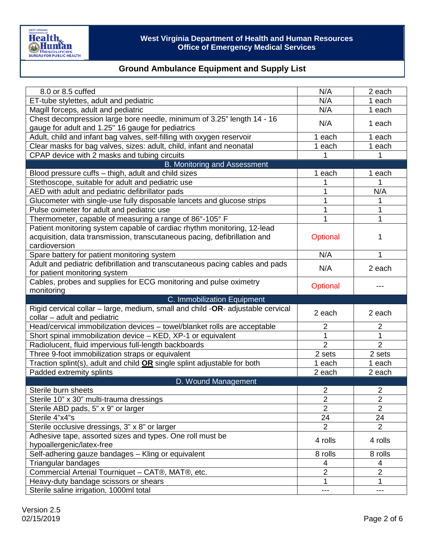| 8.0 or 8.5 cuffed                                                                                                                                                     | N/A                              | 2 each                           |
|-----------------------------------------------------------------------------------------------------------------------------------------------------------------------|----------------------------------|----------------------------------|
| ET-tube stylettes, adult and pediatric                                                                                                                                | N/A                              | 1 each                           |
| Magill forceps, adult and pediatric                                                                                                                                   | N/A                              | 1 each                           |
| Chest decompression large bore needle, minimum of 3.25" length 14 - 16                                                                                                | N/A                              | 1 each                           |
| gauge for adult and 1.25" 16 gauge for pediatrics                                                                                                                     |                                  |                                  |
| Adult, child and infant bag valves, self-filling with oxygen reservoir                                                                                                | each<br>1                        | 1 each                           |
| Clear masks for bag valves, sizes: adult, child, infant and neonatal                                                                                                  | 1 each                           | 1 each                           |
| CPAP device with 2 masks and tubing circuits                                                                                                                          |                                  |                                  |
| B. Monitoring and Assessment                                                                                                                                          |                                  |                                  |
| Blood pressure cuffs - thigh, adult and child sizes                                                                                                                   | 1 each                           | 1 each                           |
| Stethoscope, suitable for adult and pediatric use                                                                                                                     |                                  |                                  |
| AED with adult and pediatric defibrillator pads                                                                                                                       | 1                                | N/A                              |
| Glucometer with single-use fully disposable lancets and glucose strips                                                                                                |                                  |                                  |
| Pulse oximeter for adult and pediatric use                                                                                                                            |                                  | 1                                |
| Thermometer, capable of measuring a range of 86°-105° F                                                                                                               |                                  |                                  |
| Patient monitoring system capable of cardiac rhythm monitoring, 12-lead<br>acquisition, data transmission, transcutaneous pacing, defibrillation and<br>cardioversion | Optional                         | 1                                |
| Spare battery for patient monitoring system                                                                                                                           | N/A                              | 1                                |
| Adult and pediatric defibrillation and transcutaneous pacing cables and pads                                                                                          |                                  |                                  |
| for patient monitoring system                                                                                                                                         | N/A                              | 2 each                           |
| Cables, probes and supplies for ECG monitoring and pulse oximetry                                                                                                     |                                  |                                  |
| monitoring                                                                                                                                                            | Optional                         |                                  |
|                                                                                                                                                                       |                                  |                                  |
| C. Immobilization Equipment                                                                                                                                           |                                  |                                  |
| Rigid cervical collar - large, medium, small and child -OR- adjustable cervical                                                                                       |                                  |                                  |
| collar - adult and pediatric                                                                                                                                          | 2 each                           | 2 each                           |
| Head/cervical immobilization devices - towel/blanket rolls are acceptable                                                                                             | $\overline{2}$                   | $\overline{2}$                   |
|                                                                                                                                                                       | 1                                |                                  |
| Short spinal immobilization device - KED, XP-1 or equivalent                                                                                                          | $\overline{2}$                   | $\overline{2}$                   |
| Radiolucent, fluid impervious full-length backboards<br>Three 9-foot immobilization straps or equivalent                                                              | 2 sets                           | 2 sets                           |
|                                                                                                                                                                       | 1 each                           | 1 each                           |
| Traction splint(s), adult and child <b>OR</b> single splint adjustable for both                                                                                       | 2 each                           | 2 each                           |
| Padded extremity splints                                                                                                                                              |                                  |                                  |
| D. Wound Management<br>Sterile burn sheets                                                                                                                            | $\overline{2}$                   | 2                                |
|                                                                                                                                                                       |                                  |                                  |
| Sterile 10" x 30" multi-trauma dressings                                                                                                                              | $\overline{2}$<br>$\overline{2}$ | $\overline{2}$<br>$\overline{2}$ |
| Sterile ABD pads, 5" x 9" or larger                                                                                                                                   |                                  |                                  |
| Sterile 4"x4"s                                                                                                                                                        | 24<br>$\overline{2}$             | 24<br>$\overline{2}$             |
| Sterile occlusive dressings, 3" x 8" or larger                                                                                                                        |                                  |                                  |
| Adhesive tape, assorted sizes and types. One roll must be<br>hypoallergenic/latex-free                                                                                | 4 rolls                          | 4 rolls                          |
| Self-adhering gauze bandages - Kling or equivalent                                                                                                                    | 8 rolls                          | 8 rolls                          |
| Triangular bandages                                                                                                                                                   | 4                                | 4                                |
| Commercial Arterial Tourniquet - CAT®, MAT®, etc.                                                                                                                     | $\overline{2}$                   | $\overline{2}$                   |
| Heavy-duty bandage scissors or shears                                                                                                                                 | 1                                |                                  |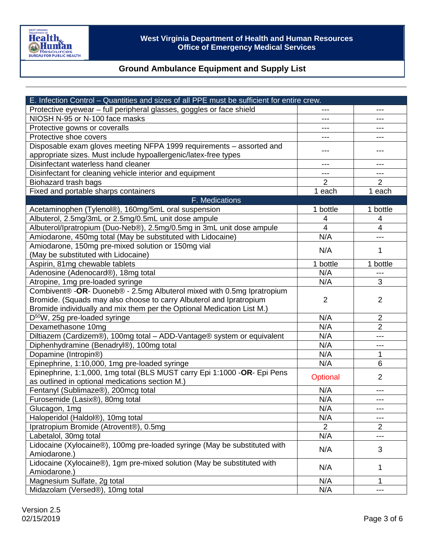

| E. Infection Control – Quantities and sizes of all PPE must be sufficient for entire crew. |                |                |  |
|--------------------------------------------------------------------------------------------|----------------|----------------|--|
| Protective eyewear - full peripheral glasses, goggles or face shield                       | ---            | $---$          |  |
| NIOSH N-95 or N-100 face masks                                                             | $---$          | ---            |  |
| Protective gowns or coveralls                                                              | ---            |                |  |
| Protective shoe covers                                                                     | ---            |                |  |
| Disposable exam gloves meeting NFPA 1999 requirements - assorted and                       |                |                |  |
| appropriate sizes. Must include hypoallergenic/latex-free types                            |                | ---            |  |
| Disinfectant waterless hand cleaner                                                        | ---            | ---            |  |
| Disinfectant for cleaning vehicle interior and equipment                                   | $---$          | $---$          |  |
| Biohazard trash bags                                                                       | 2              | $\overline{2}$ |  |
| Fixed and portable sharps containers                                                       | 1 each         | 1 each         |  |
| F. Medications                                                                             |                |                |  |
| Acetaminophen (Tylenol®), 160mg/5mL oral suspension                                        | 1 bottle       | 1 bottle       |  |
| Albuterol, 2.5mg/3mL or 2.5mg/0.5mL unit dose ampule                                       | 4              | 4              |  |
| Albuterol/Ipratropium (Duo-Neb®), 2.5mg/0.5mg in 3mL unit dose ampule                      | 4              | $\overline{4}$ |  |
| Amiodarone, 450mg total (May be substituted with Lidocaine)                                | N/A            | ---            |  |
| Amiodarone, 150mg pre-mixed solution or 150mg vial                                         |                |                |  |
| (May be substituted with Lidocaine)                                                        | N/A            | 1              |  |
| Aspirin, 81mg chewable tablets                                                             | 1 bottle       | 1 bottle       |  |
| Adenosine (Adenocard®), 18mg total                                                         | N/A            | ---            |  |
| Atropine, 1mg pre-loaded syringe                                                           | N/A            | 3              |  |
| Combivent® - OR- Duoneb® - 2.5mg Albuterol mixed with 0.5mg Ipratropium                    |                |                |  |
| Bromide. (Squads may also choose to carry Albuterol and Ipratropium                        | $\overline{2}$ | $\overline{2}$ |  |
| Bromide individually and mix them per the Optional Medication List M.)                     |                |                |  |
| $D^{50}W$ , 25g pre-loaded syringe                                                         | N/A            | $\overline{2}$ |  |
| Dexamethasone 10mg                                                                         | N/A            | $\overline{2}$ |  |
| Diltiazem (Cardizem®), 100mg total - ADD-Vantage® system or equivalent                     | N/A            | ---            |  |
| Diphenhydramine (Benadryl®), 100mg total                                                   | N/A            | ---            |  |
| Dopamine (Intropin®)                                                                       | N/A            | 1              |  |
| Epinephrine, 1:10,000, 1mg pre-loaded syringe                                              | N/A            | 6              |  |
| Epinephrine, 1:1,000, 1mg total (BLS MUST carry Epi 1:1000 -OR- Epi Pens                   |                | 2              |  |
| as outlined in optional medications section M.)                                            | Optional       |                |  |
| Fentanyl (Sublimaze®), 200mcg total                                                        | N/A            | ---            |  |
| Furosemide (Lasix®), 80mg total                                                            | N/A            | ---            |  |
| Glucagon, 1mg                                                                              | N/A            | ---            |  |
| Haloperidol (Haldol®), 10mg total                                                          | N/A            | ---            |  |
| Ipratropium Bromide (Atrovent®), 0.5mg                                                     | $\overline{2}$ | $\overline{2}$ |  |
| Labetalol, 30mg total                                                                      | N/A            |                |  |
| Lidocaine (Xylocaine®), 100mg pre-loaded syringe (May be substituted with                  |                |                |  |
| Amiodarone.)                                                                               | N/A            | 3              |  |
| Lidocaine (Xylocaine®), 1gm pre-mixed solution (May be substituted with                    |                |                |  |
| Amiodarone.)                                                                               | N/A            | 1              |  |
| Magnesium Sulfate, 2g total                                                                | N/A            | 1              |  |
| Midazolam (Versed®), 10mg total                                                            | N/A            | ---            |  |
|                                                                                            |                |                |  |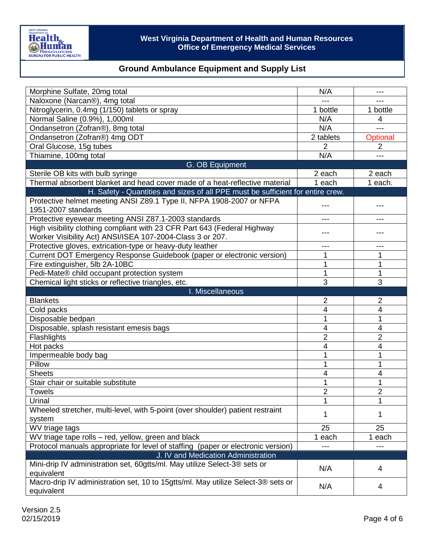

| Morphine Sulfate, 20mg total                                                                                                                                                | N/A            |                |
|-----------------------------------------------------------------------------------------------------------------------------------------------------------------------------|----------------|----------------|
| Naloxone (Narcan®), 4mg total                                                                                                                                               |                |                |
| Nitroglycerin, 0.4mg (1/150) tablets or spray                                                                                                                               | 1 bottle       | 1 bottle       |
| Normal Saline (0.9%), 1,000ml                                                                                                                                               | N/A            | 4              |
| Ondansetron (Zofran®), 8mg total                                                                                                                                            | N/A            | ---            |
| Ondansetron (Zofran®) 4mg ODT                                                                                                                                               | 2 tablets      | Optional       |
| Oral Glucose, 15g tubes                                                                                                                                                     | $\overline{2}$ | $\overline{2}$ |
| Thiamine, 100mg total                                                                                                                                                       | N/A            |                |
| G. OB Equipment                                                                                                                                                             |                |                |
| Sterile OB kits with bulb syringe                                                                                                                                           | 2 each         | 2 each         |
| Thermal absorbent blanket and head cover made of a heat-reflective material                                                                                                 | 1 each         | 1 each.        |
| H. Safety - Quantities and sizes of all PPE must be sufficient for entire crew.                                                                                             |                |                |
| Protective helmet meeting ANSI Z89.1 Type II, NFPA 1908-2007 or NFPA<br>1951-2007 standards                                                                                 |                |                |
| Protective eyewear meeting ANSI Z87.1-2003 standards                                                                                                                        | ---            | ---            |
| High visibility clothing compliant with 23 CFR Part 643 (Federal Highway<br>Worker Visibility Act) ANSI/ISEA 107-2004-Class 3 or 207.                                       |                |                |
| Protective gloves, extrication-type or heavy-duty leather                                                                                                                   | ---            | ---            |
| Current DOT Emergency Response Guidebook (paper or electronic version)                                                                                                      | 1              | 1              |
| Fire extinguisher, 5lb 2A-10BC                                                                                                                                              | 1              | 1              |
| Pedi-Mate® child occupant protection system                                                                                                                                 |                | 1              |
| Chemical light sticks or reflective triangles, etc.                                                                                                                         | 3              | 3              |
| I. Miscellaneous                                                                                                                                                            |                |                |
| <b>Blankets</b>                                                                                                                                                             |                |                |
|                                                                                                                                                                             | 2              | 2              |
| Cold packs                                                                                                                                                                  | 4              | 4              |
| Disposable bedpan                                                                                                                                                           | 1              | 1              |
| Disposable, splash resistant emesis bags                                                                                                                                    | 4              | 4              |
| Flashlights                                                                                                                                                                 | 2              | $\overline{2}$ |
| Hot packs                                                                                                                                                                   | 4              | 4              |
| Impermeable body bag                                                                                                                                                        |                | 1              |
| Pillow                                                                                                                                                                      |                | 1              |
| <b>Sheets</b>                                                                                                                                                               | $\overline{4}$ | 4              |
| Stair chair or suitable substitute                                                                                                                                          | 1              | 1              |
| <b>Towels</b>                                                                                                                                                               | $\overline{2}$ | $\overline{2}$ |
| Urinal                                                                                                                                                                      | 1              | 1              |
| Wheeled stretcher, multi-level, with 5-point (over shoulder) patient restraint                                                                                              |                |                |
| system                                                                                                                                                                      | 1              | 1              |
| WV triage tags                                                                                                                                                              | 25             | 25             |
| WV triage tape rolls - red, yellow, green and black                                                                                                                         | 1 each         | 1 each         |
| Protocol manuals appropriate for level of staffing (paper or electronic version)                                                                                            | $---$          | ---            |
| J. IV and Medication Administration                                                                                                                                         |                |                |
| Mini-drip IV administration set, 60gtts/ml. May utilize Select-3® sets or<br>equivalent<br>Macro-drip IV administration set, 10 to 15gtts/ml. May utilize Select-3® sets or | N/A            | 4              |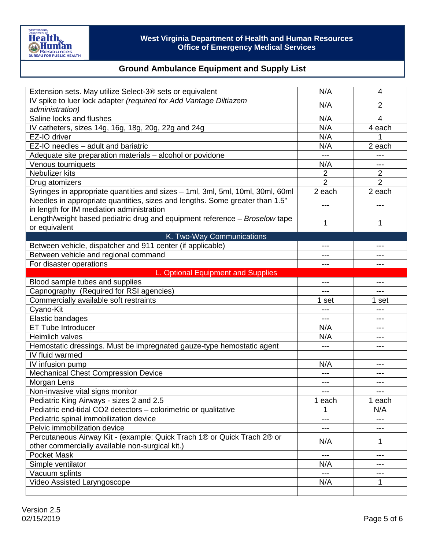

| Extension sets. May utilize Select-3® sets or equivalent                                                                  | N/A            | 4                        |
|---------------------------------------------------------------------------------------------------------------------------|----------------|--------------------------|
| IV spike to luer lock adapter (required for Add Vantage Diltiazem                                                         | N/A            | $\overline{2}$           |
| administration)                                                                                                           |                |                          |
| Saline locks and flushes                                                                                                  | N/A            | $\overline{\mathcal{L}}$ |
| IV catheters, sizes 14g, 16g, 18g, 20g, 22g and 24g                                                                       | N/A            | 4 each                   |
| EZ-IO driver                                                                                                              | N/A            | 1                        |
| EZ-IO needles - adult and bariatric                                                                                       | N/A            | 2 each                   |
| Adequate site preparation materials - alcohol or povidone                                                                 | $---$          |                          |
| Venous tourniquets                                                                                                        | N/A            | ---                      |
| Nebulizer kits                                                                                                            | $\overline{2}$ | 2                        |
| Drug atomizers                                                                                                            | $\overline{2}$ | $\overline{2}$           |
| Syringes in appropriate quantities and sizes - 1ml, 3ml, 5ml, 10ml, 30ml, 60ml                                            | 2 each         | 2 each                   |
| Needles in appropriate quantities, sizes and lengths. Some greater than 1.5"<br>in length for IM mediation administration |                |                          |
| Length/weight based pediatric drug and equipment reference - Broselow tape                                                | 1              | 1                        |
| or equivalent<br>K. Two-Way Communications                                                                                |                |                          |
| Between vehicle, dispatcher and 911 center (if applicable)                                                                | $---$          |                          |
| Between vehicle and regional command                                                                                      |                |                          |
| For disaster operations                                                                                                   | ---            | ---                      |
| L. Optional Equipment and Supplies                                                                                        |                |                          |
| Blood sample tubes and supplies                                                                                           | $---$          | $---$                    |
| Capnography (Required for RSI agencies)                                                                                   | ---            | ---                      |
| Commercially available soft restraints                                                                                    | 1 set          | 1 set                    |
| Cyano-Kit                                                                                                                 | ---            | ---                      |
| Elastic bandages                                                                                                          | $---$          | ---                      |
| <b>ET Tube Introducer</b>                                                                                                 | N/A            | $---$                    |
| Heimlich valves                                                                                                           | N/A            |                          |
| Hemostatic dressings. Must be impregnated gauze-type hemostatic agent                                                     | $---$          | ---                      |
| IV fluid warmed                                                                                                           |                |                          |
| IV infusion pump                                                                                                          | N/A            | ---                      |
| <b>Mechanical Chest Compression Device</b>                                                                                | $---$          | ---                      |
| Morgan Lens                                                                                                               | ---            |                          |
| Non-invasive vital signs monitor                                                                                          | $---$          | ---                      |
| Pediatric King Airways - sizes 2 and 2.5                                                                                  | 1 each         | 1 each                   |
| Pediatric end-tidal CO2 detectors - colorimetric or qualitative                                                           |                | N/A                      |
| Pediatric spinal immobilization device                                                                                    | ---            | ---                      |
| Pelvic immobilization device                                                                                              | $---$          | $---$                    |
| Percutaneous Airway Kit - (example: Quick Trach 1® or Quick Trach 2® or                                                   |                |                          |
| other commercially available non-surgical kit.)                                                                           | N/A            | 1                        |
| <b>Pocket Mask</b>                                                                                                        | ---            | ---                      |
| Simple ventilator                                                                                                         | N/A            | ---                      |
| Vacuum splints                                                                                                            | $---$          | $---$                    |
| Video Assisted Laryngoscope                                                                                               | N/A            | 1                        |
|                                                                                                                           |                |                          |